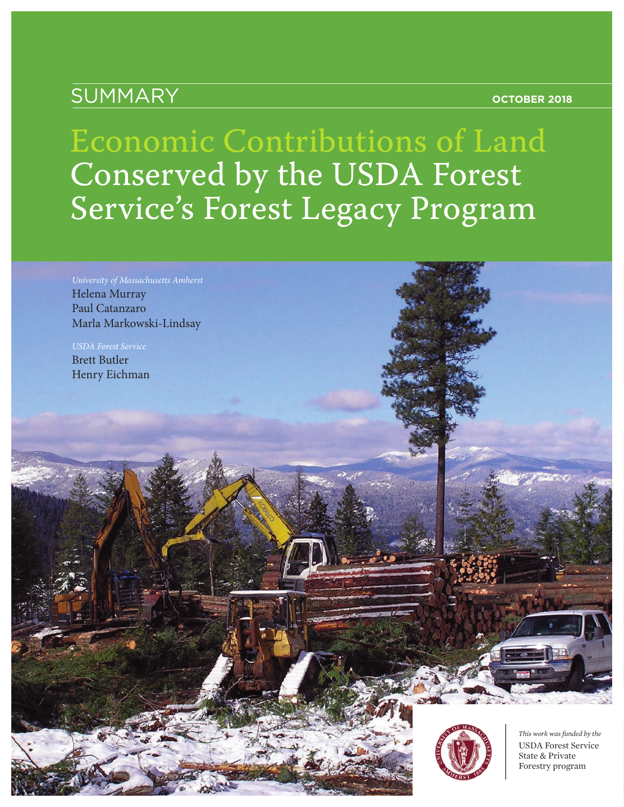### SUMMARY **OCTOBER 2018**

# Economic Contributions of Land Conserved by the USDA Forest Service's Forest Legacy Program

*University of Massachusetts Amherst* Helena Murray Paul Catanzaro Marla Markowski-Lindsay

*USDA Forest Service* Brett Butler Henry Eichman



*This work was funded by the* USDA Forest Service State & Private Forestry program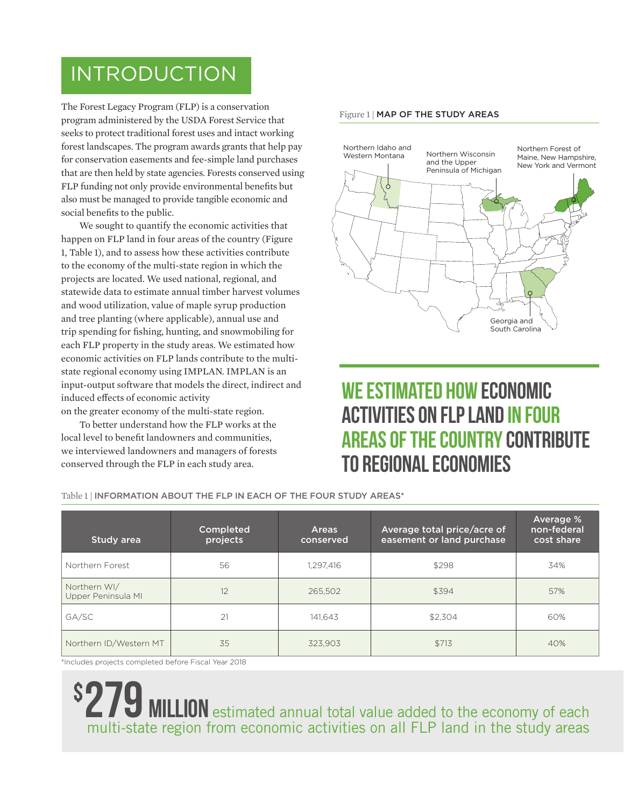### INTRODUCTION

The Forest Legacy Program (FLP) is a conservation program administered by the USDA Forest Service that seeks to protect traditional forest uses and intact working forest landscapes. The program awards grants that help pay for conservation easements and fee-simple land purchases that are then held by state agencies. Forests conserved using FLP funding not only provide environmental benefits but also must be managed to provide tangible economic and social benefits to the public.

We sought to quantify the economic activities that happen on FLP land in four areas of the country (Figure 1, Table 1), and to assess how these activities contribute to the economy of the multi-state region in which the projects are located. We used national, regional, and statewide data to estimate annual timber harvest volumes and wood utilization, value of maple syrup production and tree planting (where applicable), annual use and trip spending for fishing, hunting, and snowmobiling for each FLP property in the study areas. We estimated how economic activities on FLP lands contribute to the multistate regional economy using IMPLAN. IMPLAN is an input-output software that models the direct, indirect and induced effects of economic activity on the greater economy of the multi-state region.

To better understand how the FLP works at the local level to benefit landowners and communities, we interviewed landowners and managers of forests conserved through the FLP in each study area.

#### Figure 1 *|* MAP OF THE STUDY AREAS



### We estimated how economic activities on FLP land in four areas of the country contribute to regional economies

Table 1<sup>*|*</sup> **INFORMATION ABOUT THE FLP IN EACH OF THE FOUR STUDY AREAS\*** 

| Study area                         | Completed<br>projects | <b>Areas</b><br>conserved | Average total price/acre of<br>easement or land purchase | Average %<br>non-federal<br>cost share |
|------------------------------------|-----------------------|---------------------------|----------------------------------------------------------|----------------------------------------|
| Northern Forest                    | 56                    | 1,297,416                 | \$298                                                    | 34%                                    |
| Northern WI/<br>Upper Peninsula MI | 12                    | 265,502                   | \$394                                                    | 57%                                    |
| GA/SC                              | 21                    | 141.643                   | \$2.304                                                  | 60%                                    |
| Northern ID/Western MT             | 35                    | 323.903                   | \$713                                                    | 40%                                    |

\*Includes projects completed before Fiscal Year 2018

\$ **29 MILLION** estimated annual total value added to the economy of each multi-state region from economic activities on all FLP land in the study areas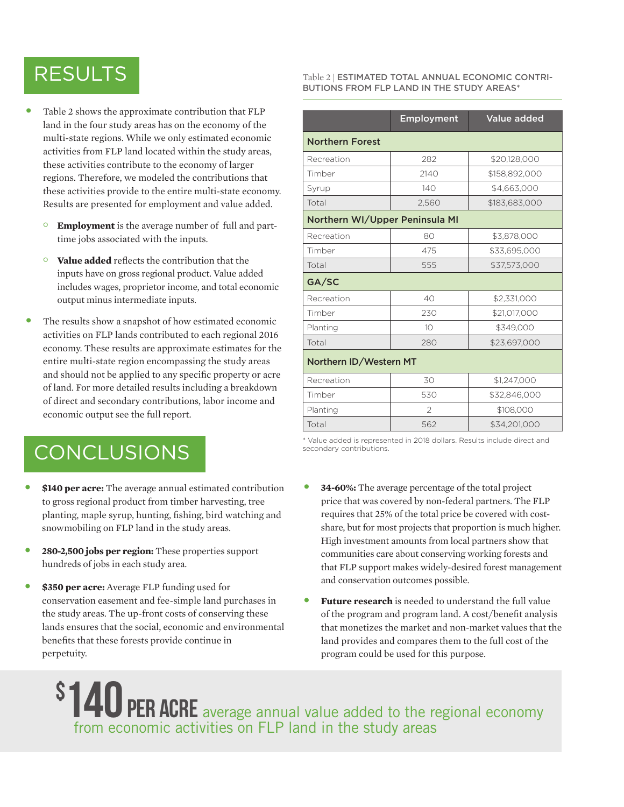### RESULTS

- Table 2 shows the approximate contribution that FLP land in the four study areas has on the economy of the multi-state regions. While we only estimated economic activities from FLP land located within the study areas, these activities contribute to the economy of larger regions. Therefore, we modeled the contributions that these activities provide to the entire multi-state economy. Results are presented for employment and value added.
	- **◦ Employment** is the average number of full and parttime jobs associated with the inputs.
	- **◦ Value added** reflects the contribution that the inputs have on gross regional product. Value added includes wages, proprietor income, and total economic output minus intermediate inputs.
- The results show a snapshot of how estimated economic activities on FLP lands contributed to each regional 2016 economy. These results are approximate estimates for the entire multi-state region encompassing the study areas and should not be applied to any specific property or acre of land. For more detailed results including a breakdown of direct and secondary contributions, labor income and economic output see the full report.

## CONCLUSIONS

- **\$140 per acre:** The average annual estimated contribution to gross regional product from timber harvesting, tree planting, maple syrup, hunting, fishing, bird watching and snowmobiling on FLP land in the study areas.
- **280-2,500 jobs per region:** These properties support hundreds of jobs in each study area.
- **\$350 per acre:** Average FLP funding used for conservation easement and fee-simple land purchases in the study areas. The up-front costs of conserving these lands ensures that the social, economic and environmental benefits that these forests provide continue in perpetuity.

#### Table 2 *|* ESTIMATED TOTAL ANNUAL ECONOMIC CONTRI-BUTIONS FROM FLP LAND IN THE STUDY AREAS\*

|                                | <b>Employment</b> | <b>Value added</b> |  |  |  |
|--------------------------------|-------------------|--------------------|--|--|--|
| <b>Northern Forest</b>         |                   |                    |  |  |  |
| Recreation                     | 282               | \$20,128,000       |  |  |  |
| Timber                         | 2140              | \$158,892,000      |  |  |  |
| Syrup                          | 140               | \$4,663,000        |  |  |  |
| Total                          | 2,560             | \$183,683,000      |  |  |  |
| Northern WI/Upper Peninsula MI |                   |                    |  |  |  |
| Recreation                     | 80                | \$3,878,000        |  |  |  |
| Timber                         | 475               | \$33,695,000       |  |  |  |
| Total                          | 555               | \$37,573,000       |  |  |  |
| GA/SC                          |                   |                    |  |  |  |
| Recreation                     | 40                | \$2,331,000        |  |  |  |
| Timber                         | 230               | \$21,017,000       |  |  |  |
| Planting                       | 10 <sup>2</sup>   | \$349,000          |  |  |  |
| Total                          | 280               | \$23,697,000       |  |  |  |
| Northern ID/Western MT         |                   |                    |  |  |  |
| Recreation                     | 30                | \$1,247,000        |  |  |  |
| Timber                         | 530               | \$32,846,000       |  |  |  |
| Planting                       | $\mathfrak{D}$    | \$108,000          |  |  |  |
| Total                          | 562               | \$34,201,000       |  |  |  |

\* Value added is represented in 2018 dollars. Results include direct and secondary contributions.

- **34-60%:** The average percentage of the total project price that was covered by non-federal partners. The FLP requires that 25% of the total price be covered with costshare, but for most projects that proportion is much higher. High investment amounts from local partners show that communities care about conserving working forests and that FLP support makes widely-desired forest management and conservation outcomes possible.
- **Future research** is needed to understand the full value of the program and program land. A cost/benefit analysis that monetizes the market and non-market values that the land provides and compares them to the full cost of the program could be used for this purpose.

\$ <sup>1</sup>140 PER ACRE average annual value added to the regional economy from economic activities on FLP land in the study areas